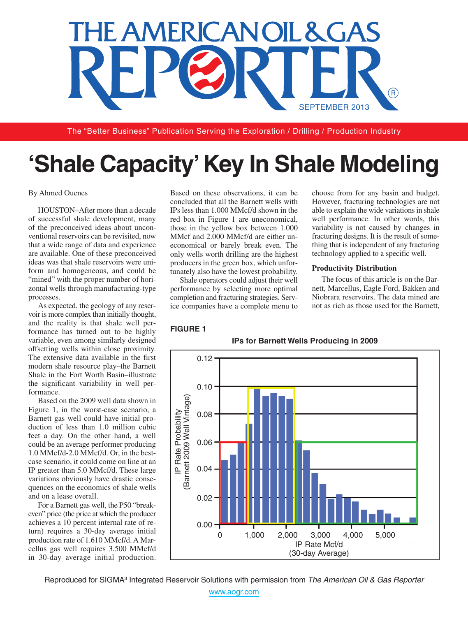

The "Better Business" Publication Serving the Exploration / Drilling / Production Industry

# **'Shale Capacity'Key In Shale Modeling**

#### By Ahmed Ouenes

HOUSTON–After more than a decade of successful shale development, many of the preconceived ideas about unconventional reservoirs can be revisited, now that a wide range of data and experience are available. One of these preconceived ideas was that shale reservoirs were uniform and homogeneous, and could be "mined" with the proper number of horizontal wells through manufacturing-type processes.

As expected, the geology of any reservoir is more complex than initially thought, and the reality is that shale well performance has turned out to be highly variable, even among similarly designed offsetting wells within close proximity. The extensive data available in the first modern shale resource play–the Barnett Shale in the Fort Worth Basin–illustrate the significant variability in well performance.

Based on the 2009 well data shown in Figure 1, in the worst-case scenario, a Barnett gas well could have initial production of less than 1.0 million cubic feet a day. On the other hand, a well could be an average performer producing 1.0 MMcf/d-2.0 MMcf/d. Or, in the bestcase scenario, it could come on line at an IP greater than 5.0 MMcf/d. These large variations obviously have drastic consequences on the economics of shale wells and on a lease overall.

For a Barnett gas well, the P50 "breakeven" price (the price at which the producer achieves a 10 percent internal rate of return) requires a 30-day average initial production rate of 1.610 MMcf/d. A Marcellus gas well requires 3.500 MMcf/d in 30-day average initial production.

Based on these observations, it can be concluded that all the Barnett wells with IPs less than 1.000 MMcf/d shown in the red box in Figure 1 are uneconomical, those in the yellow box between 1.000 MMcf and 2.000 MMcf/d are either uneconomical or barely break even. The only wells worth drilling are the highest producers in the green box, which unfortunately also have the lowest probability.

Shale operators could adjust their well performance by selecting more optimal completion and fracturing strategies. Service companies have a complete menu to choose from for any basin and budget. However, fracturing technologies are not able to explain the wide variations in shale well performance. In other words, this variability is not caused by changes in fracturing designs. It is the result of something that is independent of any fracturing technology applied to a specific well.

#### **Productivity Distribution**

The focus of this article is on the Barnett, Marcellus, Eagle Ford, Bakken and Niobrara reservoirs. The data mined are not as rich as those used for the Barnett,

## **FIGURE 1**



Reproduced for SIGMA3 Integrated Reservoir Solutions with permission from *The American Oil & Gas Reporter*

<www.aogr.com>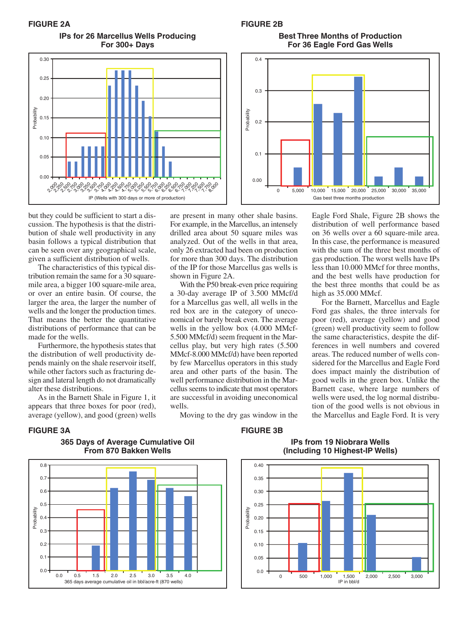**FIGURE 2A FIGURE 2B**



#### **IPs for 26 Marcellus Wells Producing For 300+ Days**

## **Best Three Months of Production For 36 Eagle Ford Gas Wells**



but they could be sufficient to start a discussion. The hypothesis is that the distribution of shale well productivity in any basin follows a typical distribution that can be seen over any geographical scale, given a sufficient distribution of wells.

The characteristics of this typical distribution remain the same for a 30 squaremile area, a bigger 100 square-mile area, or over an entire basin. Of course, the larger the area, the larger the number of wells and the longer the production times. That means the better the quantitative distributions of performance that can be made for the wells.

Furthermore, the hypothesis states that the distribution of well productivity depends mainly on the shale reservoir itself, while other factors such as fracturing design and lateral length do not dramatically alter these distributions.

As in the Barnett Shale in Figure 1, it appears that three boxes for poor (red), average (yellow), and good (green) wells are present in many other shale basins. For example, in the Marcellus, an intensely drilled area about 50 square miles was analyzed. Out of the wells in that area, only 26 extracted had been on production for more than 300 days. The distribution of the IP for those Marcellus gas wells is shown in Figure 2A.

With the P50 break-even price requiring a 30-day average IP of 3.500 MMcf/d for a Marcellus gas well, all wells in the red box are in the category of uneconomical or barely break even. The average wells in the yellow box (4.000 MMcf-5.500 MMcf/d) seem frequent in the Marcellus play, but very high rates (5.500 MMcf-8.000 MMcf/d) have been reported by few Marcellus operators in this study area and other parts of the basin. The well performance distribution in the Marcellus seems to indicate that most operators are successful in avoiding uneconomical wells.

Moving to the dry gas window in the

Eagle Ford Shale, Figure 2B shows the distribution of well performance based on 36 wells over a 60 square-mile area. In this case, the performance is measured with the sum of the three best months of gas production. The worst wells have IPs less than 10.000 MMcf for three months, and the best wells have production for the best three months that could be as high as 35.000 MMcf.

For the Barnett, Marcellus and Eagle Ford gas shales, the three intervals for poor (red), average (yellow) and good (green) well productivity seem to follow the same characteristics, despite the differences in well numbers and covered areas. The reduced number of wells considered for the Marcellus and Eagle Ford does impact mainly the distribution of good wells in the green box. Unlike the Barnett case, where large numbers of wells were used, the log normal distribution of the good wells is not obvious in the Marcellus and Eagle Ford. It is very

## **FIGURE 3A**





**FIGURE 3B**

**IPs from 19 Niobrara Wells (Including 10 Highest-IP Wells)**

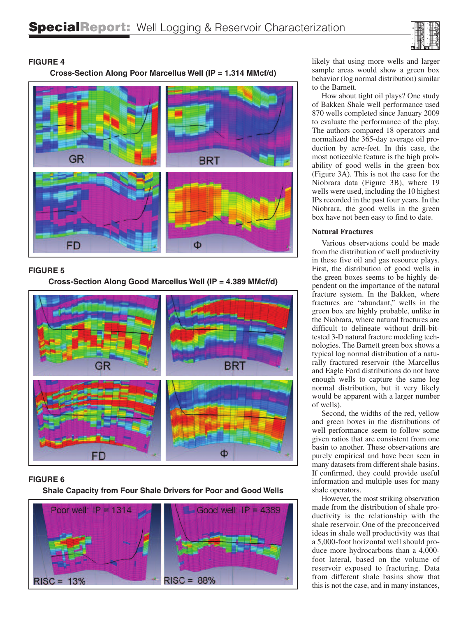



## **FIGURE 4**

**FIGURE 5**

**Cross-Section Along Good Marcellus Well (IP = 4.389 MMcf/d)**



## **FIGURE 6**

**Shale Capacity from Four Shale Drivers for Poor and Good Wells**



likely that using more wells and larger sample areas would show a green box behavior (log normal distribution) similar to the Barnett.

How about tight oil plays? One study of Bakken Shale well performance used 870 wells completed since January 2009 to evaluate the performance of the play. The authors compared 18 operators and normalized the 365-day average oil production by acre-feet. In this case, the most noticeable feature is the high probability of good wells in the green box (Figure 3A). This is not the case for the Niobrara data (Figure 3B), where 19 wells were used, including the 10 highest IPs recorded in the past four years. In the Niobrara, the good wells in the green box have not been easy to find to date.

#### **Natural Fractures**

Various observations could be made from the distribution of well productivity in these five oil and gas resource plays. First, the distribution of good wells in the green boxes seems to be highly dependent on the importance of the natural fracture system. In the Bakken, where fractures are "abundant," wells in the green box are highly probable, unlike in the Niobrara, where natural fractures are difficult to delineate without drill-bittested 3-D natural fracture modeling technologies. The Barnett green box shows a typical log normal distribution of a naturally fractured reservoir (the Marcellus and Eagle Ford distributions do not have enough wells to capture the same log normal distribution, but it very likely would be apparent with a larger number of wells).

Second, the widths of the red, yellow and green boxes in the distributions of well performance seem to follow some given ratios that are consistent from one basin to another. These observations are purely empirical and have been seen in many datasets from different shale basins. If confirmed, they could provide useful information and multiple uses for many shale operators.

However, the most striking observation made from the distribution of shale productivity is the relationship with the shale reservoir. One of the preconceived ideas in shale well productivity was that a 5,000-foot horizontal well should produce more hydrocarbons than a 4,000 foot lateral, based on the volume of reservoir exposed to fracturing. Data from different shale basins show that this is not the case, and in many instances,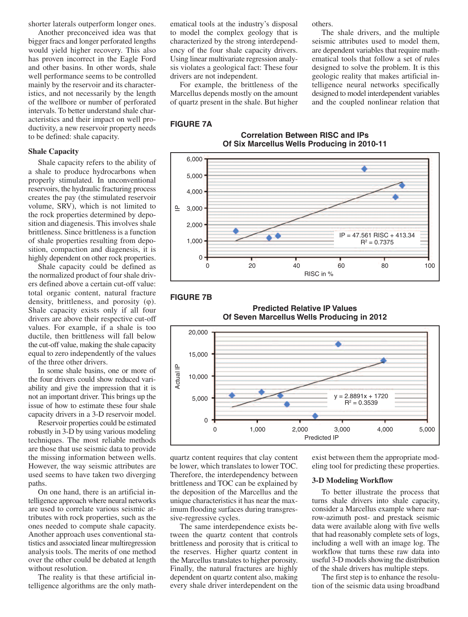shorter laterals outperform longer ones.

Another preconceived idea was that bigger fracs and longer perforated lengths would yield higher recovery. This also has proven incorrect in the Eagle Ford and other basins. In other words, shale well performance seems to be controlled mainly by the reservoir and its characteristics, and not necessarily by the length of the wellbore or number of perforated intervals. To better understand shale characteristics and their impact on well productivity, a new reservoir property needs to be defined: shale capacity.

#### **Shale Capacity**

Shale capacity refers to the ability of a shale to produce hydrocarbons when properly stimulated. In unconventional reservoirs, the hydraulic fracturing process creates the pay (the stimulated reservoir volume, SRV), which is not limited to the rock properties determined by deposition and diagenesis. This involves shale brittleness. Since brittleness is a function of shale properties resulting from deposition, compaction and diagenesis, it is highly dependent on other rock properties.

Shale capacity could be defined as the normalized product of four shale drivers defined above a certain cut-off value: total organic content, natural fracture density, brittleness, and porosity  $(\varphi)$ . Shale capacity exists only if all four drivers are above their respective cut-off values. For example, if a shale is too ductile, then brittleness will fall below the cut-off value, making the shale capacity equal to zero independently of the values of the three other drivers.

In some shale basins, one or more of the four drivers could show reduced variability and give the impression that it is not an important driver. This brings up the issue of how to estimate these four shale capacity drivers in a 3-D reservoir model.

Reservoir properties could be estimated robustly in 3-D by using various modeling techniques. The most reliable methods are those that use seismic data to provide the missing information between wells. However, the way seismic attributes are used seems to have taken two diverging paths.

On one hand, there is an artificial intelligence approach where neural networks are used to correlate various seismic attributes with rock properties, such as the ones needed to compute shale capacity. Another approach uses conventional statistics and associated linear multiregression analysis tools. The merits of one method over the other could be debated at length without resolution.

The reality is that these artificial intelligence algorithms are the only mathematical tools at the industry's disposal to model the complex geology that is characterized by the strong interdependency of the four shale capacity drivers. Using linear multivariate regression analysis violates a geological fact: These four drivers are not independent.

For example, the brittleness of the Marcellus depends mostly on the amount of quartz present in the shale. But higher others.

The shale drivers, and the multiple seismic attributes used to model them, are dependent variables that require mathematical tools that follow a set of rules designed to solve the problem. It is this geologic reality that makes artificial intelligence neural networks specifically designed to model interdependent variables and the coupled nonlinear relation that

## **FIGURE 7A**

**Correlation Between RISC and IPs Of Six Marcellus Wells Producing in 2010-11**







**Predicted Relative IP Values**

quartz content requires that clay content be lower, which translates to lower TOC. Therefore, the interdependency between brittleness and TOC can be explained by the deposition of the Marcellus and the unique characteristics it has near the maximum flooding surfaces during transgressive-regressive cycles.

The same interdependence exists between the quartz content that controls brittleness and porosity that is critical to the reserves. Higher quartz content in the Marcellus translates to higher porosity. Finally, the natural fractures are highly dependent on quartz content also, making every shale driver interdependent on the exist between them the appropriate modeling tool for predicting these properties.

#### **3-D Modeling Workflow**

To better illustrate the process that turns shale drivers into shale capacity, consider a Marcellus example where narrow-azimuth post- and prestack seismic data were available along with five wells that had reasonably complete sets of logs, including a well with an image log. The workflow that turns these raw data into useful 3-D models showing the distribution of the shale drivers has multiple steps.

The first step is to enhance the resolution of the seismic data using broadband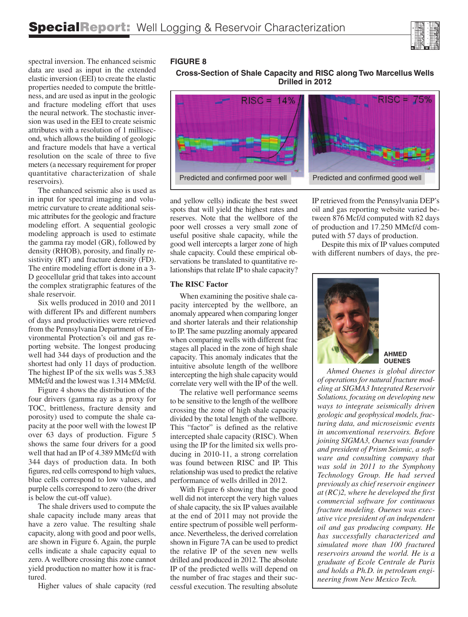

spectral inversion. The enhanced seismic data are used as input in the extended elastic inversion (EEI) to create the elastic properties needed to compute the brittleness, and are used as input in the geologic and fracture modeling effort that uses the neural network. The stochastic inversion was used in the EEI to create seismic attributes with a resolution of 1 millisecond, which allows the building of geologic and fracture models that have a vertical resolution on the scale of three to five meters(a necessary requirement for proper quantitative characterization of shale reservoirs).

The enhanced seismic also is used as in input for spectral imaging and volumetric curvature to create additional seismic attributes for the geologic and fracture modeling effort. A sequential geologic modeling approach is used to estimate the gamma ray model (GR), followed by density (RHOB), porosity, and finally resistivity (RT) and fracture density (FD). The entire modeling effort is done in a 3- D geocellular grid that takes into account the complex stratigraphic features of the shale reservoir.

Six wells produced in 2010 and 2011 with different IPs and different numbers of days and productivities were retrieved from the Pennsylvania Department of Environmental Protection's oil and gas reporting website. The longest producing well had 344 days of production and the shortest had only 11 days of production. The highest IP of the six wells was 5.383 MMcf/d and the lowest was 1.314 MMcf/d.

Figure 4 shows the distribution of the four drivers (gamma ray as a proxy for TOC, brittleness, fracture density and porosity) used to compute the shale capacity at the poor well with the lowest IP over 63 days of production. Figure 5 shows the same four drivers for a good well that had an IP of 4.389 MMcf/d with 344 days of production data. In both figures, red cells correspond to high values, blue cells correspond to low values, and purple cells correspond to zero (the driver is below the cut-off value).

The shale drivers used to compute the shale capacity include many areas that have a zero value. The resulting shale capacity, along with good and poor wells, are shown in Figure 6. Again, the purple cells indicate a shale capacity equal to zero.A wellbore crossing this zone cannot yield production no matter how it is fractured.

Higher values of shale capacity (red

## **FIGURE 8**

**Cross-Section of Shale Capacity and RISC along Two Marcellus Wells Drilled in 2012**





and yellow cells) indicate the best sweet spots that will yield the highest rates and reserves. Note that the wellbore of the poor well crosses a very small zone of useful positive shale capacity, while the good well intercepts a larger zone of high shale capacity. Could these empirical observations be translated to quantitative relationships that relate IP to shale capacity?

#### **The RISC Factor**

When examining the positive shale capacity intercepted by the wellbore, an anomaly appeared when comparing longer and shorter laterals and their relationship to IP. The same puzzling anomaly appeared when comparing wells with different frac stages all placed in the zone of high shale capacity. This anomaly indicates that the intuitive absolute length of the wellbore intercepting the high shale capacity would correlate very well with the IP of the well.

The relative well performance seems to be sensitive to the length of the wellbore crossing the zone of high shale capacity divided by the total length of the wellbore. This "factor" is defined as the relative intercepted shale capacity (RISC). When using the IP for the limited six wells producing in 2010-11, a strong correlation was found between RISC and IP. This relationship was used to predict the relative performance of wells drilled in 2012.

With Figure 6 showing that the good well did not intercept the very high values ofshale capacity, the six IP values available at the end of 2011 may not provide the entire spectrum of possible well performance. Nevertheless, the derived correlation shown in Figure 7A can be used to predict the relative IP of the seven new wells drilled and produced in 2012. The absolute IP of the predicted wells will depend on the number of frac stages and their successful execution. The resulting absolute

IP retrieved from the Pennsylvania DEP's oil and gas reporting website varied between 876 Mcf/d computed with 82 days of production and 17.250 MMcf/d computed with 57 days of production.

Despite this mix of IP values computed with different numbers of days, the pre-



#### **AHMED OUENES**

*Ahmed Ouenes is global director of operations for natural fracture modeling at SIGMA3 Integrated Reservoir Solutions, focusing on developing new ways to integrate seismically driven geologic and geophysical models, fracturing data, and microseismic events in unconventional reservoirs. Before joining SIGMA3, Ouenes was founder and president of Prism Seismic, a software and consulting company that was sold in 2011 to the Symphony Technology Group. He had served previously as chief reservoir engineer at (RC)2, where he developed the first commercial software for continuous fracture modeling. Ouenes was executive vice president of an independent oil and gas producing company. He has successfully characterized and simulated more than 100 fractured reservoirs around the world. He is a graduate of Ecole Centrale de Paris and holds a Ph.D. in petroleum engineering from New Mexico Tech.*